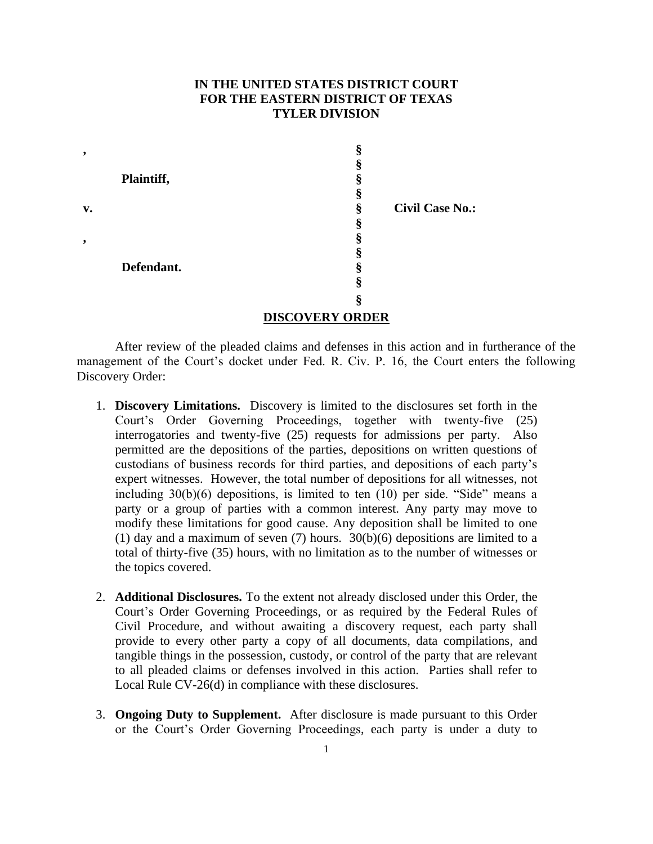## **IN THE UNITED STATES DISTRICT COURT FOR THE EASTERN DISTRICT OF TEXAS TYLER DIVISION**

| ,  |            | 灬            |                        |
|----|------------|--------------|------------------------|
|    |            | æ            |                        |
|    | Plaintiff, |              |                        |
|    |            | 灬            |                        |
| v. |            | §            | <b>Civil Case No.:</b> |
|    |            | \$           |                        |
| ,  |            |              |                        |
|    |            |              |                        |
|    | Defendant. |              |                        |
|    |            | 8            |                        |
|    |            | n            |                        |
|    |            | ------------ |                        |

## **DISCOVERY ORDER**

After review of the pleaded claims and defenses in this action and in furtherance of the management of the Court's docket under Fed. R. Civ. P. 16, the Court enters the following Discovery Order:

- 1. **Discovery Limitations.** Discovery is limited to the disclosures set forth in the Court's Order Governing Proceedings, together with twenty-five (25) interrogatories and twenty-five (25) requests for admissions per party. Also permitted are the depositions of the parties, depositions on written questions of custodians of business records for third parties, and depositions of each party's expert witnesses. However, the total number of depositions for all witnesses, not including 30(b)(6) depositions, is limited to ten (10) per side. "Side" means a party or a group of parties with a common interest. Any party may move to modify these limitations for good cause. Any deposition shall be limited to one (1) day and a maximum of seven  $(7)$  hours.  $30(b)(6)$  depositions are limited to a total of thirty-five (35) hours, with no limitation as to the number of witnesses or the topics covered.
- 2. **Additional Disclosures.** To the extent not already disclosed under this Order, the Court's Order Governing Proceedings, or as required by the Federal Rules of Civil Procedure, and without awaiting a discovery request, each party shall provide to every other party a copy of all documents, data compilations, and tangible things in the possession, custody, or control of the party that are relevant to all pleaded claims or defenses involved in this action. Parties shall refer to Local Rule CV-26(d) in compliance with these disclosures.
- 3. **Ongoing Duty to Supplement.** After disclosure is made pursuant to this Order or the Court's Order Governing Proceedings, each party is under a duty to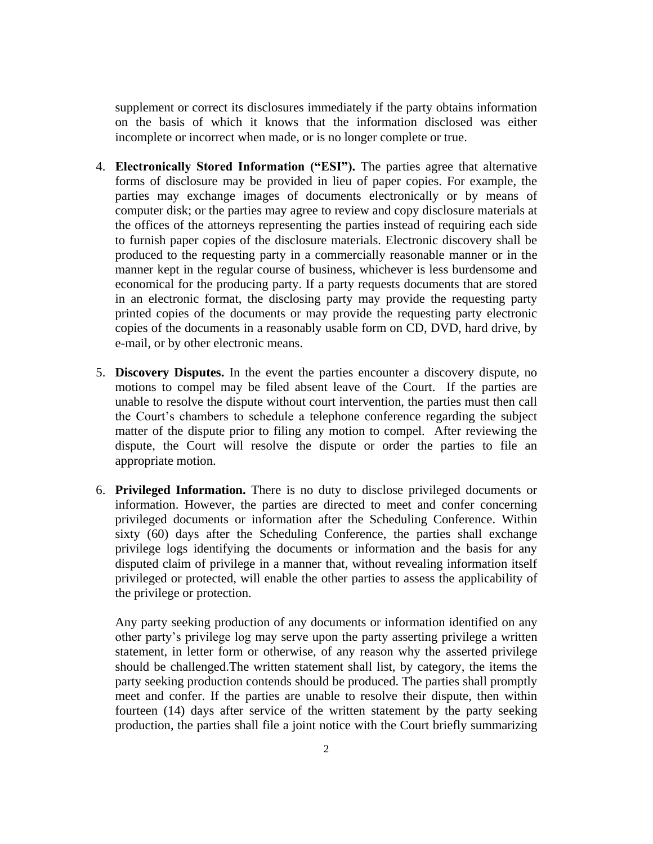supplement or correct its disclosures immediately if the party obtains information on the basis of which it knows that the information disclosed was either incomplete or incorrect when made, or is no longer complete or true.

- 4. **Electronically Stored Information ("ESI").** The parties agree that alternative forms of disclosure may be provided in lieu of paper copies. For example, the parties may exchange images of documents electronically or by means of computer disk; or the parties may agree to review and copy disclosure materials at the offices of the attorneys representing the parties instead of requiring each side to furnish paper copies of the disclosure materials. Electronic discovery shall be produced to the requesting party in a commercially reasonable manner or in the manner kept in the regular course of business, whichever is less burdensome and economical for the producing party. If a party requests documents that are stored in an electronic format, the disclosing party may provide the requesting party printed copies of the documents or may provide the requesting party electronic copies of the documents in a reasonably usable form on CD, DVD, hard drive, by e-mail, or by other electronic means.
- 5. **Discovery Disputes.** In the event the parties encounter a discovery dispute, no motions to compel may be filed absent leave of the Court. If the parties are unable to resolve the dispute without court intervention, the parties must then call the Court's chambers to schedule a telephone conference regarding the subject matter of the dispute prior to filing any motion to compel. After reviewing the dispute, the Court will resolve the dispute or order the parties to file an appropriate motion.
- 6. **Privileged Information.** There is no duty to disclose privileged documents or information. However, the parties are directed to meet and confer concerning privileged documents or information after the Scheduling Conference. Within sixty (60) days after the Scheduling Conference, the parties shall exchange privilege logs identifying the documents or information and the basis for any disputed claim of privilege in a manner that, without revealing information itself privileged or protected, will enable the other parties to assess the applicability of the privilege or protection.

Any party seeking production of any documents or information identified on any other party's privilege log may serve upon the party asserting privilege a written statement, in letter form or otherwise, of any reason why the asserted privilege should be challenged.The written statement shall list, by category, the items the party seeking production contends should be produced. The parties shall promptly meet and confer. If the parties are unable to resolve their dispute, then within fourteen (14) days after service of the written statement by the party seeking production, the parties shall file a joint notice with the Court briefly summarizing